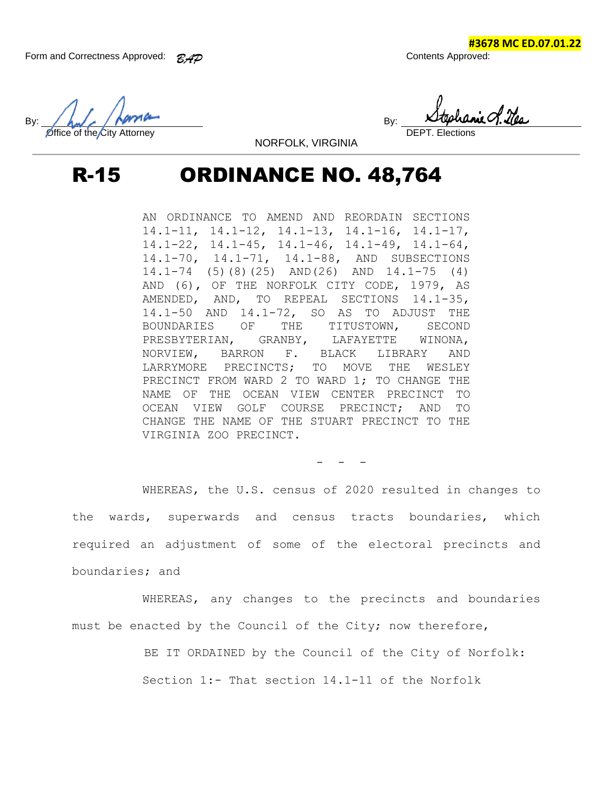**#3678 MC ED.07.01.22**

 $By:$  And  $\sim$  /  $\sim$  Persons in the set of  $By:$ Office of the City Attorney

NORFOLK, VIRGINIA

## R-15 ORDINANCE NO. 48,764

AN ORDINANCE TO AMEND AND REORDAIN SECTIONS 14.1-11, 14.1-12, 14.1-13, 14.1-16, 14.1-17, 14.1-22, 14.1-45, 14.1-46, 14.1-49, 14.1-64, 14.1-70, 14.1-71, 14.1-88, AND SUBSECTIONS 14.1-74 (5)(8)(25) AND(26) AND 14.1-75 (4) AND (6), OF THE NORFOLK CITY CODE, 1979, AS AMENDED, AND, TO REPEAL SECTIONS 14.1-35, 14.1-50 AND 14.1-72, SO AS TO ADJUST THE BOUNDARIES OF THE TITUSTOWN, SECOND PRESBYTERIAN, GRANBY, LAFAYETTE WINONA, NORVIEW, BARRON F. BLACK LIBRARY AND LARRYMORE PRECINCTS; TO MOVE THE WESLEY PRECINCT FROM WARD 2 TO WARD 1; TO CHANGE THE NAME OF THE OCEAN VIEW CENTER PRECINCT TO OCEAN VIEW GOLF COURSE PRECINCT; AND TO CHANGE THE NAME OF THE STUART PRECINCT TO THE VIRGINIA ZOO PRECINCT.

WHEREAS, the U.S. census of 2020 resulted in changes to the wards, superwards and census tracts boundaries, which required an adjustment of some of the electoral precincts and boundaries; and

WHEREAS, any changes to the precincts and boundaries must be enacted by the Council of the City; now therefore,

BE IT ORDAINED by the Council of the City of Norfolk:

 $-$ 

Section 1:- That section 14.1-11 of the Norfolk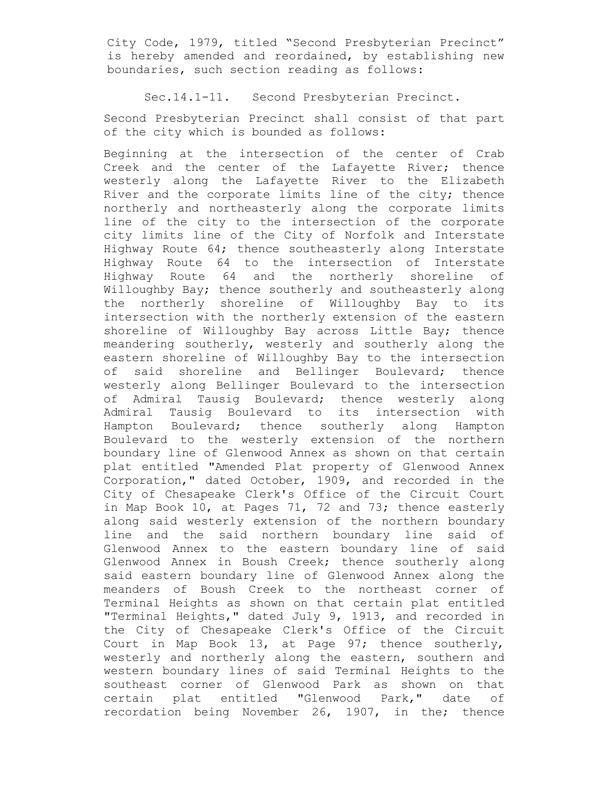City Code, 1979, titled "Second Presbyterian Precinct" is hereby amended and reordained, by establishing new boundaries, such section reading as follows:

Sec.14.1-11. Second Presbyterian Precinct.

Second Presbyterian Precinct shall consist of that part of the city which is bounded as follows:

Beginning at the intersection of the center of Crab Creek and the center of the Lafayette River; thence westerly along the Lafayette River to the Elizabeth River and the corporate limits line of the city; thence northerly and northeasterly along the corporate limits line of the city to the intersection of the corporate city limits line of the City of Norfolk and Interstate Highway Route 64; thence southeasterly along Interstate Highway Route 64 to the intersection of Interstate Highway Route 64 and the northerly shoreline of Willoughby Bay; thence southerly and southeasterly along the northerly shoreline of Willoughby Bay to its intersection with the northerly extension of the eastern shoreline of Willoughby Bay across Little Bay; thence meandering southerly, westerly and southerly along the eastern shoreline of Willoughby Bay to the intersection of said shoreline and Bellinger Boulevard; thence westerly along Bellinger Boulevard to the intersection of Admiral Tausig Boulevard; thence westerly along Admiral Tausig Boulevard to its intersection with Hampton Boulevard; thence southerly along Hampton Boulevard to the westerly extension of the northern boundary line of Glenwood Annex as shown on that certain plat entitled "Amended Plat property of Glenwood Annex Corporation," dated October, 1909, and recorded in the City of Chesapeake Clerk's Office of the Circuit Court in Map Book 10, at Pages 71, 72 and 73; thence easterly along said westerly extension of the northern boundary line and the said northern boundary line said of Glenwood Annex to the eastern boundary line of said Glenwood Annex in Boush Creek; thence southerly along said eastern boundary line of Glenwood Annex along the meanders of Boush Creek to the northeast corner of Terminal Heights as shown on that certain plat entitled "Terminal Heights," dated July 9, 1913, and recorded in the City of Chesapeake Clerk's Office of the Circuit Court in Map Book 13, at Page 97; thence southerly, westerly and northerly along the eastern, southern and western boundary lines of said Terminal Heights to the southeast corner of Glenwood Park as shown on that certain plat entitled "Glenwood Park," date of recordation being November 26, 1907, in the; thence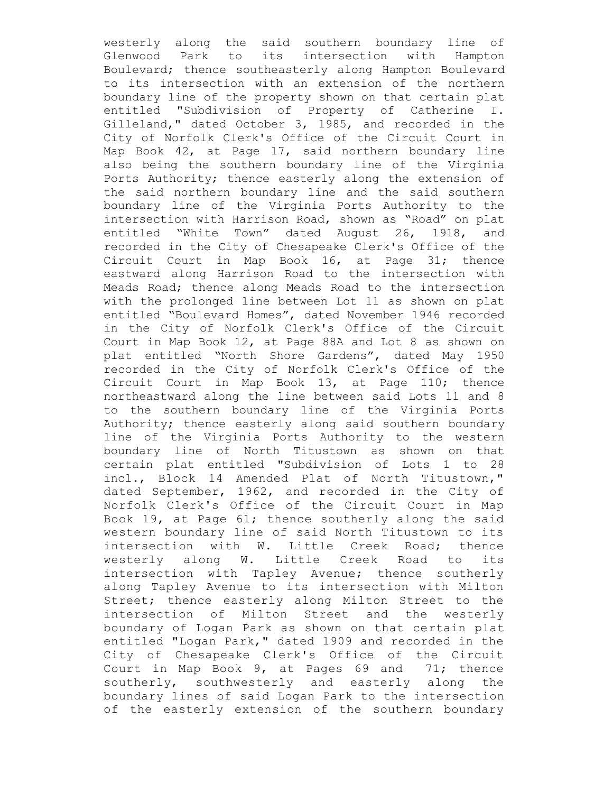westerly along the said southern boundary line of Glenwood Park to its intersection with Hampton Boulevard; thence southeasterly along Hampton Boulevard to its intersection with an extension of the northern boundary line of the property shown on that certain plat entitled "Subdivision of Property of Catherine I. Gilleland," dated October 3, 1985, and recorded in the City of Norfolk Clerk's Office of the Circuit Court in Map Book 42, at Page 17, said northern boundary line also being the southern boundary line of the Virginia Ports Authority; thence easterly along the extension of the said northern boundary line and the said southern boundary line of the Virginia Ports Authority to the intersection with Harrison Road, shown as "Road" on plat entitled "White Town" dated August 26, 1918, and recorded in the City of Chesapeake Clerk's Office of the Circuit Court in Map Book 16, at Page 31; thence eastward along Harrison Road to the intersection with Meads Road; thence along Meads Road to the intersection with the prolonged line between Lot 11 as shown on plat entitled "Boulevard Homes", dated November 1946 recorded in the City of Norfolk Clerk's Office of the Circuit Court in Map Book 12, at Page 88A and Lot 8 as shown on plat entitled "North Shore Gardens", dated May 1950 recorded in the City of Norfolk Clerk's Office of the Circuit Court in Map Book 13, at Page 110; thence northeastward along the line between said Lots 11 and 8 to the southern boundary line of the Virginia Ports Authority; thence easterly along said southern boundary line of the Virginia Ports Authority to the western boundary line of North Titustown as shown on that certain plat entitled "Subdivision of Lots 1 to 28 incl., Block 14 Amended Plat of North Titustown," dated September, 1962, and recorded in the City of Norfolk Clerk's Office of the Circuit Court in Map Book 19, at Page 61; thence southerly along the said western boundary line of said North Titustown to its intersection with W. Little Creek Road; thence westerly along W. Little Creek Road to its intersection with Tapley Avenue; thence southerly along Tapley Avenue to its intersection with Milton Street; thence easterly along Milton Street to the intersection of Milton Street and the westerly boundary of Logan Park as shown on that certain plat entitled "Logan Park," dated 1909 and recorded in the City of Chesapeake Clerk's Office of the Circuit Court in Map Book 9, at Pages 69 and 71; thence southerly, southwesterly and easterly along the boundary lines of said Logan Park to the intersection of the easterly extension of the southern boundary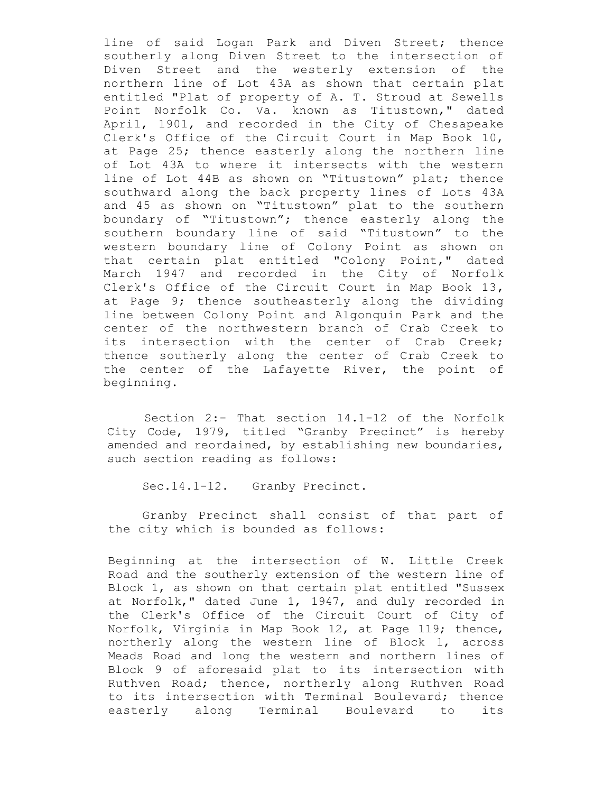line of said Logan Park and Diven Street; thence southerly along Diven Street to the intersection of Diven Street and the westerly extension of the northern line of Lot 43A as shown that certain plat entitled "Plat of property of A. T. Stroud at Sewells Point Norfolk Co. Va. known as Titustown," dated April, 1901, and recorded in the City of Chesapeake Clerk's Office of the Circuit Court in Map Book 10, at Page 25; thence easterly along the northern line of Lot 43A to where it intersects with the western line of Lot 44B as shown on "Titustown" plat; thence southward along the back property lines of Lots 43A and 45 as shown on "Titustown" plat to the southern boundary of "Titustown"; thence easterly along the southern boundary line of said "Titustown" to the western boundary line of Colony Point as shown on that certain plat entitled "Colony Point," dated March 1947 and recorded in the City of Norfolk Clerk's Office of the Circuit Court in Map Book 13, at Page 9; thence southeasterly along the dividing line between Colony Point and Algonquin Park and the center of the northwestern branch of Crab Creek to its intersection with the center of Crab Creek; thence southerly along the center of Crab Creek to the center of the Lafayette River, the point of beginning.

Section 2:- That section 14.1-12 of the Norfolk City Code, 1979, titled "Granby Precinct" is hereby amended and reordained, by establishing new boundaries, such section reading as follows:

Sec.14.1-12. Granby Precinct.

Granby Precinct shall consist of that part of the city which is bounded as follows:

Beginning at the intersection of W. Little Creek Road and the southerly extension of the western line of Block 1, as shown on that certain plat entitled "Sussex at Norfolk," dated June 1, 1947, and duly recorded in the Clerk's Office of the Circuit Court of City of Norfolk, Virginia in Map Book 12, at Page 119; thence, northerly along the western line of Block 1, across Meads Road and long the western and northern lines of Block 9 of aforesaid plat to its intersection with Ruthven Road; thence, northerly along Ruthven Road to its intersection with Terminal Boulevard; thence easterly along Terminal Boulevard to its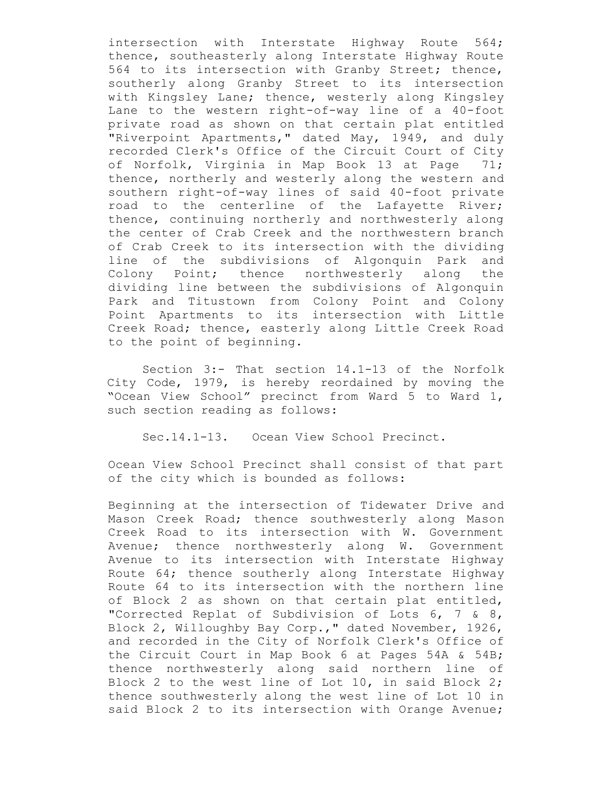intersection with Interstate Highway Route 564; thence, southeasterly along Interstate Highway Route 564 to its intersection with Granby Street; thence, southerly along Granby Street to its intersection with Kingsley Lane; thence, westerly along Kingsley Lane to the western right-of-way line of a 40-foot private road as shown on that certain plat entitled "Riverpoint Apartments," dated May, 1949, and duly recorded Clerk's Office of the Circuit Court of City of Norfolk, Virginia in Map Book 13 at Page 71; thence, northerly and westerly along the western and southern right-of-way lines of said 40-foot private road to the centerline of the Lafayette River; thence, continuing northerly and northwesterly along the center of Crab Creek and the northwestern branch of Crab Creek to its intersection with the dividing line of the subdivisions of Algonquin Park and Colony Point; thence northwesterly along the dividing line between the subdivisions of Algonquin Park and Titustown from Colony Point and Colony Point Apartments to its intersection with Little Creek Road; thence, easterly along Little Creek Road to the point of beginning.

Section 3:- That section 14.1-13 of the Norfolk City Code, 1979, is hereby reordained by moving the "Ocean View School" precinct from Ward 5 to Ward 1, such section reading as follows:

Sec.14.1-13. Ocean View School Precinct.

Ocean View School Precinct shall consist of that part of the city which is bounded as follows:

Beginning at the intersection of Tidewater Drive and Mason Creek Road; thence southwesterly along Mason Creek Road to its intersection with W. Government Avenue; thence northwesterly along W. Government Avenue to its intersection with Interstate Highway Route 64; thence southerly along Interstate Highway Route 64 to its intersection with the northern line of Block 2 as shown on that certain plat entitled, "Corrected Replat of Subdivision of Lots 6, 7 & 8, Block 2, Willoughby Bay Corp.," dated November, 1926, and recorded in the City of Norfolk Clerk's Office of the Circuit Court in Map Book 6 at Pages 54A & 54B; thence northwesterly along said northern line of Block 2 to the west line of Lot 10, in said Block 2; thence southwesterly along the west line of Lot 10 in said Block 2 to its intersection with Orange Avenue;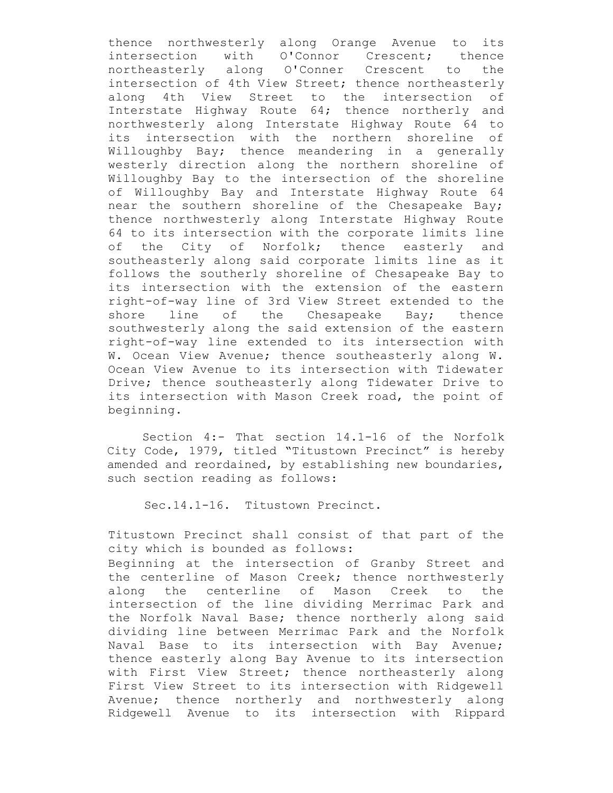thence northwesterly along Orange Avenue to its intersection with O'Connor Crescent; thence northeasterly along O'Conner Crescent to the intersection of 4th View Street; thence northeasterly along 4th View Street to the intersection of Interstate Highway Route 64; thence northerly and northwesterly along Interstate Highway Route 64 to its intersection with the northern shoreline of Willoughby Bay; thence meandering in a generally westerly direction along the northern shoreline of Willoughby Bay to the intersection of the shoreline of Willoughby Bay and Interstate Highway Route 64 near the southern shoreline of the Chesapeake Bay; thence northwesterly along Interstate Highway Route 64 to its intersection with the corporate limits line of the City of Norfolk; thence easterly and southeasterly along said corporate limits line as it follows the southerly shoreline of Chesapeake Bay to its intersection with the extension of the eastern right-of-way line of 3rd View Street extended to the shore line of the Chesapeake Bay; thence southwesterly along the said extension of the eastern right-of-way line extended to its intersection with W. Ocean View Avenue; thence southeasterly along W. Ocean View Avenue to its intersection with Tidewater Drive; thence southeasterly along Tidewater Drive to its intersection with Mason Creek road, the point of beginning.

Section 4:- That section 14.1-16 of the Norfolk City Code, 1979, titled "Titustown Precinct" is hereby amended and reordained, by establishing new boundaries, such section reading as follows:

Sec.14.1-16. Titustown Precinct.

Titustown Precinct shall consist of that part of the city which is bounded as follows: Beginning at the intersection of Granby Street and the centerline of Mason Creek; thence northwesterly along the centerline of Mason Creek to the intersection of the line dividing Merrimac Park and the Norfolk Naval Base; thence northerly along said dividing line between Merrimac Park and the Norfolk Naval Base to its intersection with Bay Avenue; thence easterly along Bay Avenue to its intersection with First View Street; thence northeasterly along First View Street to its intersection with Ridgewell Avenue; thence northerly and northwesterly along Ridgewell Avenue to its intersection with Rippard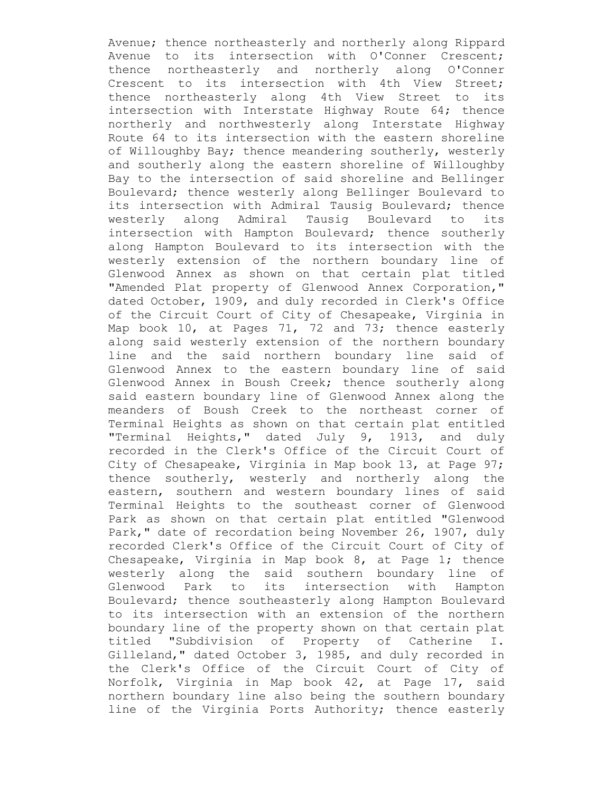Avenue; thence northeasterly and northerly along Rippard Avenue to its intersection with O'Conner Crescent; thence northeasterly and northerly along O'Conner Crescent to its intersection with 4th View Street; thence northeasterly along 4th View Street to its intersection with Interstate Highway Route 64; thence northerly and northwesterly along Interstate Highway Route 64 to its intersection with the eastern shoreline of Willoughby Bay; thence meandering southerly, westerly and southerly along the eastern shoreline of Willoughby Bay to the intersection of said shoreline and Bellinger Boulevard; thence westerly along Bellinger Boulevard to its intersection with Admiral Tausig Boulevard; thence westerly along Admiral Tausig Boulevard to its intersection with Hampton Boulevard; thence southerly along Hampton Boulevard to its intersection with the westerly extension of the northern boundary line of Glenwood Annex as shown on that certain plat titled "Amended Plat property of Glenwood Annex Corporation," dated October, 1909, and duly recorded in Clerk's Office of the Circuit Court of City of Chesapeake, Virginia in Map book 10, at Pages 71, 72 and 73; thence easterly along said westerly extension of the northern boundary line and the said northern boundary line said of Glenwood Annex to the eastern boundary line of said Glenwood Annex in Boush Creek; thence southerly along said eastern boundary line of Glenwood Annex along the meanders of Boush Creek to the northeast corner of Terminal Heights as shown on that certain plat entitled "Terminal Heights," dated July 9, 1913, and duly recorded in the Clerk's Office of the Circuit Court of City of Chesapeake, Virginia in Map book 13, at Page 97; thence southerly, westerly and northerly along the eastern, southern and western boundary lines of said Terminal Heights to the southeast corner of Glenwood Park as shown on that certain plat entitled "Glenwood Park," date of recordation being November 26, 1907, duly recorded Clerk's Office of the Circuit Court of City of Chesapeake, Virginia in Map book 8, at Page 1; thence westerly along the said southern boundary line of Glenwood Park to its intersection with Hampton Boulevard; thence southeasterly along Hampton Boulevard to its intersection with an extension of the northern boundary line of the property shown on that certain plat titled "Subdivision of Property of Catherine I. Gilleland," dated October 3, 1985, and duly recorded in the Clerk's Office of the Circuit Court of City of Norfolk, Virginia in Map book 42, at Page 17, said northern boundary line also being the southern boundary line of the Virginia Ports Authority; thence easterly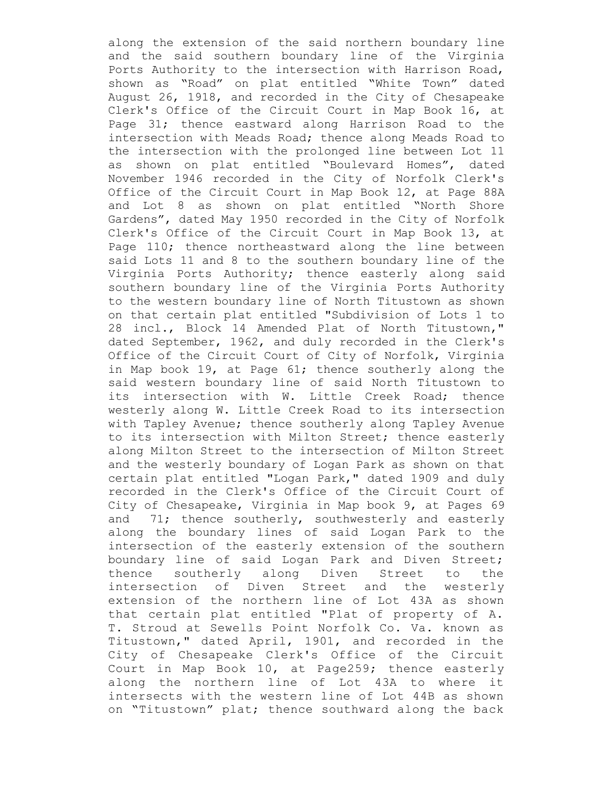along the extension of the said northern boundary line and the said southern boundary line of the Virginia Ports Authority to the intersection with Harrison Road, shown as "Road" on plat entitled "White Town" dated August 26, 1918, and recorded in the City of Chesapeake Clerk's Office of the Circuit Court in Map Book 16, at Page 31; thence eastward along Harrison Road to the intersection with Meads Road; thence along Meads Road to the intersection with the prolonged line between Lot 11 as shown on plat entitled "Boulevard Homes", dated November 1946 recorded in the City of Norfolk Clerk's Office of the Circuit Court in Map Book 12, at Page 88A and Lot 8 as shown on plat entitled "North Shore Gardens", dated May 1950 recorded in the City of Norfolk Clerk's Office of the Circuit Court in Map Book 13, at Page 110; thence northeastward along the line between said Lots 11 and 8 to the southern boundary line of the Virginia Ports Authority; thence easterly along said southern boundary line of the Virginia Ports Authority to the western boundary line of North Titustown as shown on that certain plat entitled "Subdivision of Lots 1 to 28 incl., Block 14 Amended Plat of North Titustown," dated September, 1962, and duly recorded in the Clerk's Office of the Circuit Court of City of Norfolk, Virginia in Map book 19, at Page 61; thence southerly along the said western boundary line of said North Titustown to its intersection with W. Little Creek Road; thence westerly along W. Little Creek Road to its intersection with Tapley Avenue; thence southerly along Tapley Avenue to its intersection with Milton Street; thence easterly along Milton Street to the intersection of Milton Street and the westerly boundary of Logan Park as shown on that certain plat entitled "Logan Park," dated 1909 and duly recorded in the Clerk's Office of the Circuit Court of City of Chesapeake, Virginia in Map book 9, at Pages 69 and 71; thence southerly, southwesterly and easterly along the boundary lines of said Logan Park to the intersection of the easterly extension of the southern boundary line of said Logan Park and Diven Street; thence southerly along Diven Street to the intersection of Diven Street and the westerly extension of the northern line of Lot 43A as shown that certain plat entitled "Plat of property of A. T. Stroud at Sewells Point Norfolk Co. Va. known as Titustown," dated April, 1901, and recorded in the City of Chesapeake Clerk's Office of the Circuit Court in Map Book 10, at Page259; thence easterly along the northern line of Lot 43A to where it intersects with the western line of Lot 44B as shown on "Titustown" plat; thence southward along the back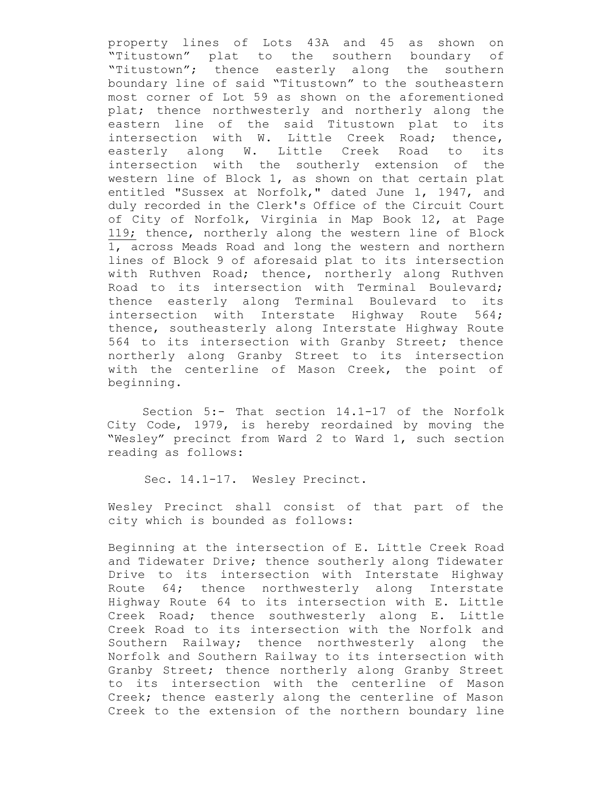property lines of Lots 43A and 45 as shown on "Titustown" plat to the southern boundary of "Titustown"; thence easterly along the southern boundary line of said "Titustown" to the southeastern most corner of Lot 59 as shown on the aforementioned plat; thence northwesterly and northerly along the eastern line of the said Titustown plat to its intersection with W. Little Creek Road; thence, easterly along W. Little Creek Road to its intersection with the southerly extension of the western line of Block 1, as shown on that certain plat entitled "Sussex at Norfolk," dated June 1, 1947, and duly recorded in the Clerk's Office of the Circuit Court of City of Norfolk, Virginia in Map Book 12, at Page 119; thence, northerly along the western line of Block 1, across Meads Road and long the western and northern lines of Block 9 of aforesaid plat to its intersection with Ruthven Road; thence, northerly along Ruthven Road to its intersection with Terminal Boulevard; thence easterly along Terminal Boulevard to its intersection with Interstate Highway Route 564; thence, southeasterly along Interstate Highway Route 564 to its intersection with Granby Street; thence northerly along Granby Street to its intersection with the centerline of Mason Creek, the point of beginning.

Section 5:- That section 14.1-17 of the Norfolk City Code, 1979, is hereby reordained by moving the "Wesley" precinct from Ward 2 to Ward 1, such section reading as follows:

Sec. 14.1-17. Wesley Precinct.

Wesley Precinct shall consist of that part of the city which is bounded as follows:

Beginning at the intersection of E. Little Creek Road and Tidewater Drive; thence southerly along Tidewater Drive to its intersection with Interstate Highway Route 64; thence northwesterly along Interstate Highway Route 64 to its intersection with E. Little Creek Road; thence southwesterly along E. Little Creek Road to its intersection with the Norfolk and Southern Railway; thence northwesterly along the Norfolk and Southern Railway to its intersection with Granby Street; thence northerly along Granby Street to its intersection with the centerline of Mason Creek; thence easterly along the centerline of Mason Creek to the extension of the northern boundary line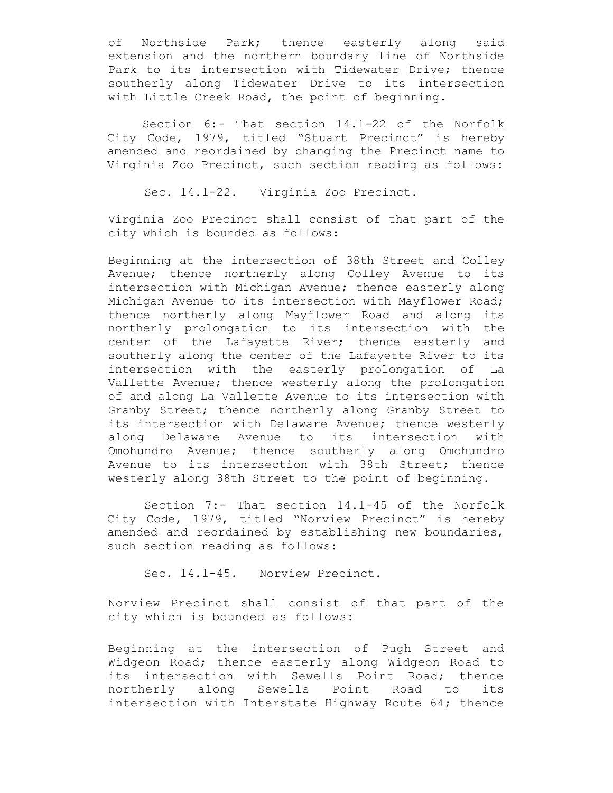of Northside Park; thence easterly along said extension and the northern boundary line of Northside Park to its intersection with Tidewater Drive; thence southerly along Tidewater Drive to its intersection with Little Creek Road, the point of beginning.

Section 6:- That section 14.1-22 of the Norfolk City Code, 1979, titled "Stuart Precinct" is hereby amended and reordained by changing the Precinct name to Virginia Zoo Precinct, such section reading as follows:

Sec. 14.1-22. Virginia Zoo Precinct.

Virginia Zoo Precinct shall consist of that part of the city which is bounded as follows:

Beginning at the intersection of 38th Street and Colley Avenue; thence northerly along Colley Avenue to its intersection with Michigan Avenue; thence easterly along Michigan Avenue to its intersection with Mayflower Road; thence northerly along Mayflower Road and along its northerly prolongation to its intersection with the center of the Lafayette River; thence easterly and southerly along the center of the Lafayette River to its intersection with the easterly prolongation of La Vallette Avenue; thence westerly along the prolongation of and along La Vallette Avenue to its intersection with Granby Street; thence northerly along Granby Street to its intersection with Delaware Avenue; thence westerly along Delaware Avenue to its intersection with Omohundro Avenue; thence southerly along Omohundro Avenue to its intersection with 38th Street; thence westerly along 38th Street to the point of beginning.

Section 7:- That section 14.1-45 of the Norfolk City Code, 1979, titled "Norview Precinct" is hereby amended and reordained by establishing new boundaries, such section reading as follows:

Sec. 14.1-45. Norview Precinct.

Norview Precinct shall consist of that part of the city which is bounded as follows:

Beginning at the intersection of Pugh Street and Widgeon Road; thence easterly along Widgeon Road to its intersection with Sewells Point Road; thence northerly along Sewells Point Road to its intersection with Interstate Highway Route 64; thence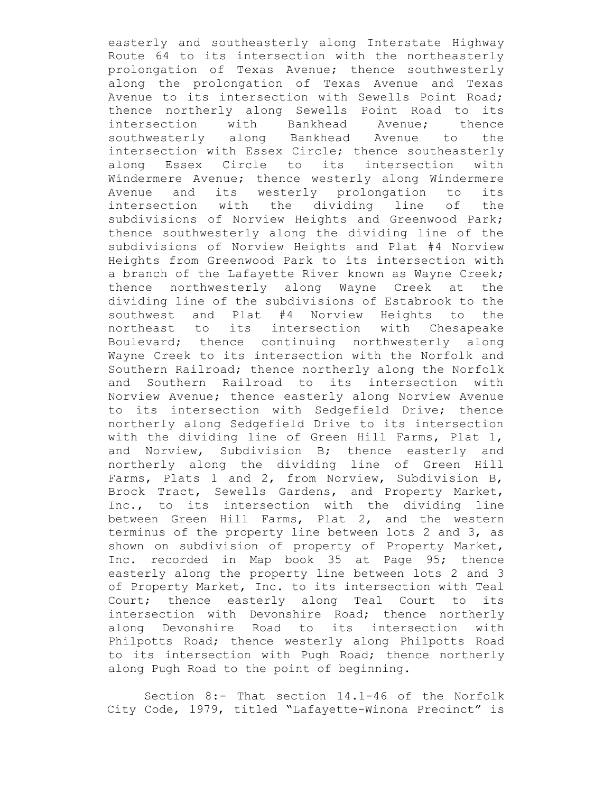easterly and southeasterly along Interstate Highway Route 64 to its intersection with the northeasterly prolongation of Texas Avenue; thence southwesterly along the prolongation of Texas Avenue and Texas Avenue to its intersection with Sewells Point Road; thence northerly along Sewells Point Road to its intersection with Bankhead Avenue; thence southwesterly along Bankhead Avenue to the intersection with Essex Circle; thence southeasterly along Essex Circle to its intersection with Windermere Avenue; thence westerly along Windermere Avenue and its westerly prolongation to its intersection with the dividing line of the subdivisions of Norview Heights and Greenwood Park; thence southwesterly along the dividing line of the subdivisions of Norview Heights and Plat #4 Norview Heights from Greenwood Park to its intersection with a branch of the Lafayette River known as Wayne Creek; thence northwesterly along Wayne Creek at the dividing line of the subdivisions of Estabrook to the southwest and Plat #4 Norview Heights to the northeast to its intersection with Chesapeake Boulevard; thence continuing northwesterly along Wayne Creek to its intersection with the Norfolk and Southern Railroad; thence northerly along the Norfolk and Southern Railroad to its intersection with Norview Avenue; thence easterly along Norview Avenue to its intersection with Sedgefield Drive; thence northerly along Sedgefield Drive to its intersection with the dividing line of Green Hill Farms, Plat 1, and Norview, Subdivision B; thence easterly and northerly along the dividing line of Green Hill Farms, Plats 1 and 2, from Norview, Subdivision B, Brock Tract, Sewells Gardens, and Property Market, Inc., to its intersection with the dividing line between Green Hill Farms, Plat 2, and the western terminus of the property line between lots 2 and 3, as shown on subdivision of property of Property Market, Inc. recorded in Map book 35 at Page 95; thence easterly along the property line between lots 2 and 3 of Property Market, Inc. to its intersection with Teal Court; thence easterly along Teal Court to its intersection with Devonshire Road; thence northerly along Devonshire Road to its intersection with Philpotts Road; thence westerly along Philpotts Road to its intersection with Pugh Road; thence northerly along Pugh Road to the point of beginning.

Section 8:- That section 14.1-46 of the Norfolk City Code, 1979, titled "Lafayette-Winona Precinct" is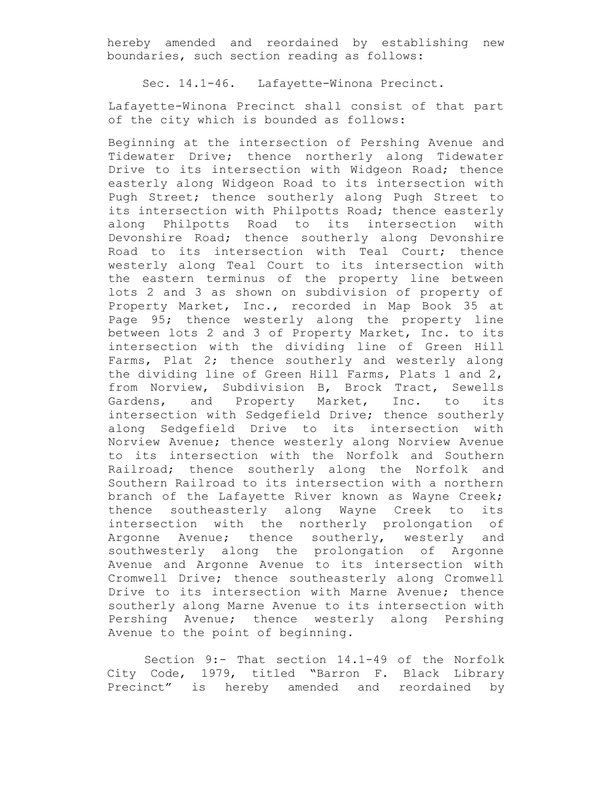hereby amended and reordained by establishing new boundaries, such section reading as follows:

Sec. 14.1-46. Lafayette-Winona Precinct.

Lafayette-Winona Precinct shall consist of that part of the city which is bounded as follows:

Beginning at the intersection of Pershing Avenue and Tidewater Drive; thence northerly along Tidewater Drive to its intersection with Widgeon Road; thence easterly along Widgeon Road to its intersection with Pugh Street; thence southerly along Pugh Street to its intersection with Philpotts Road; thence easterly along Philpotts Road to its intersection with Devonshire Road; thence southerly along Devonshire Road to its intersection with Teal Court; thence westerly along Teal Court to its intersection with the eastern terminus of the property line between lots 2 and 3 as shown on subdivision of property of Property Market, Inc., recorded in Map Book 35 at Page 95; thence westerly along the property line between lots 2 and 3 of Property Market, Inc. to its intersection with the dividing line of Green Hill Farms, Plat 2; thence southerly and westerly along the dividing line of Green Hill Farms, Plats 1 and 2, from Norview, Subdivision B, Brock Tract, Sewells Gardens, and Property Market, Inc. to its intersection with Sedgefield Drive; thence southerly along Sedgefield Drive to its intersection with Norview Avenue; thence westerly along Norview Avenue to its intersection with the Norfolk and Southern Railroad; thence southerly along the Norfolk and Southern Railroad to its intersection with a northern branch of the Lafayette River known as Wayne Creek; thence southeasterly along Wayne Creek to its intersection with the northerly prolongation of Argonne Avenue; thence southerly, westerly and southwesterly along the prolongation of Argonne Avenue and Argonne Avenue to its intersection with Cromwell Drive; thence southeasterly along Cromwell Drive to its intersection with Marne Avenue; thence southerly along Marne Avenue to its intersection with Pershing Avenue; thence westerly along Pershing Avenue to the point of beginning.

Section 9:- That section 14.1-49 of the Norfolk City Code, 1979, titled "Barron F. Black Library Precinct" is hereby amended and reordained by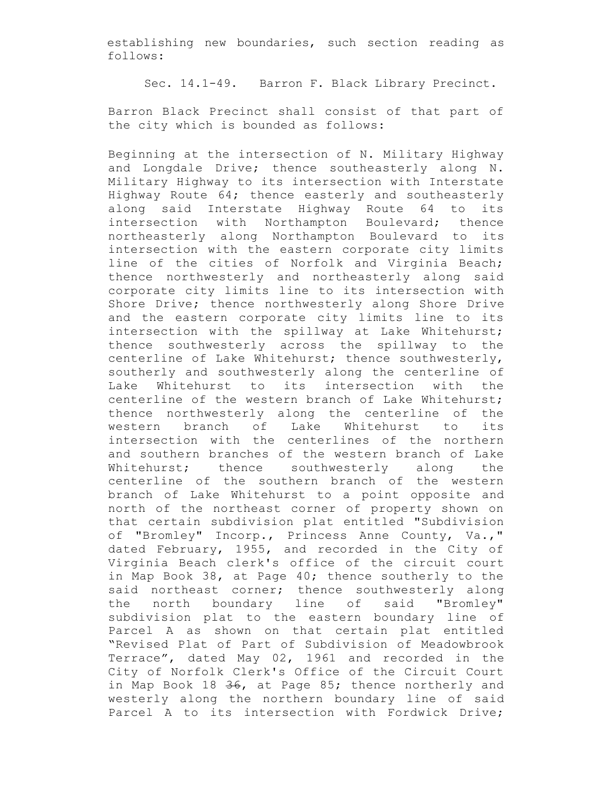establishing new boundaries, such section reading as follows:

Sec. 14.1-49. Barron F. Black Library Precinct.

Barron Black Precinct shall consist of that part of the city which is bounded as follows:

Beginning at the intersection of N. Military Highway and Longdale Drive; thence southeasterly along N. Military Highway to its intersection with Interstate Highway Route 64; thence easterly and southeasterly along said Interstate Highway Route 64 to its intersection with Northampton Boulevard; thence northeasterly along Northampton Boulevard to its intersection with the eastern corporate city limits line of the cities of Norfolk and Virginia Beach; thence northwesterly and northeasterly along said corporate city limits line to its intersection with Shore Drive; thence northwesterly along Shore Drive and the eastern corporate city limits line to its intersection with the spillway at Lake Whitehurst; thence southwesterly across the spillway to the centerline of Lake Whitehurst; thence southwesterly, southerly and southwesterly along the centerline of Lake Whitehurst to its intersection with the centerline of the western branch of Lake Whitehurst; thence northwesterly along the centerline of the western branch of Lake Whitehurst to its intersection with the centerlines of the northern and southern branches of the western branch of Lake Whitehurst; thence southwesterly along the centerline of the southern branch of the western branch of Lake Whitehurst to a point opposite and north of the northeast corner of property shown on that certain subdivision plat entitled "Subdivision of "Bromley" Incorp., Princess Anne County, Va.," dated February, 1955, and recorded in the City of Virginia Beach clerk's office of the circuit court in Map Book 38, at Page 40; thence southerly to the said northeast corner; thence southwesterly along the north boundary line of said "Bromley" subdivision plat to the eastern boundary line of Parcel A as shown on that certain plat entitled "Revised Plat of Part of Subdivision of Meadowbrook Terrace", dated May 02, 1961 and recorded in the City of Norfolk Clerk's Office of the Circuit Court in Map Book 18 36, at Page 85; thence northerly and westerly along the northern boundary line of said Parcel A to its intersection with Fordwick Drive;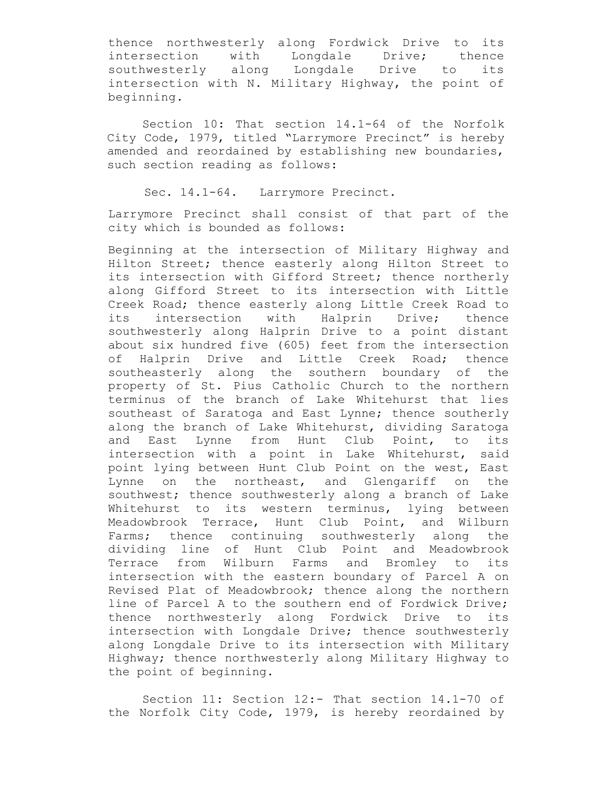thence northwesterly along Fordwick Drive to its intersection with Longdale Drive; thence southwesterly along Longdale Drive to its intersection with N. Military Highway, the point of beginning.

Section 10: That section 14.1-64 of the Norfolk City Code, 1979, titled "Larrymore Precinct" is hereby amended and reordained by establishing new boundaries, such section reading as follows:

Sec. 14.1-64. Larrymore Precinct.

Larrymore Precinct shall consist of that part of the city which is bounded as follows:

Beginning at the intersection of Military Highway and Hilton Street; thence easterly along Hilton Street to its intersection with Gifford Street; thence northerly along Gifford Street to its intersection with Little Creek Road; thence easterly along Little Creek Road to its intersection with Halprin Drive; thence southwesterly along Halprin Drive to a point distant about six hundred five (605) feet from the intersection of Halprin Drive and Little Creek Road; thence southeasterly along the southern boundary of the property of St. Pius Catholic Church to the northern terminus of the branch of Lake Whitehurst that lies southeast of Saratoga and East Lynne; thence southerly along the branch of Lake Whitehurst, dividing Saratoga and East Lynne from Hunt Club Point, to its intersection with a point in Lake Whitehurst, said point lying between Hunt Club Point on the west, East Lynne on the northeast, and Glengariff on the southwest; thence southwesterly along a branch of Lake Whitehurst to its western terminus, lying between Meadowbrook Terrace, Hunt Club Point, and Wilburn Farms; thence continuing southwesterly along the dividing line of Hunt Club Point and Meadowbrook Terrace from Wilburn Farms and Bromley to its intersection with the eastern boundary of Parcel A on Revised Plat of Meadowbrook; thence along the northern line of Parcel A to the southern end of Fordwick Drive; thence northwesterly along Fordwick Drive to its intersection with Longdale Drive; thence southwesterly along Longdale Drive to its intersection with Military Highway; thence northwesterly along Military Highway to the point of beginning.

Section 11: Section 12:- That section 14.1-70 of the Norfolk City Code, 1979, is hereby reordained by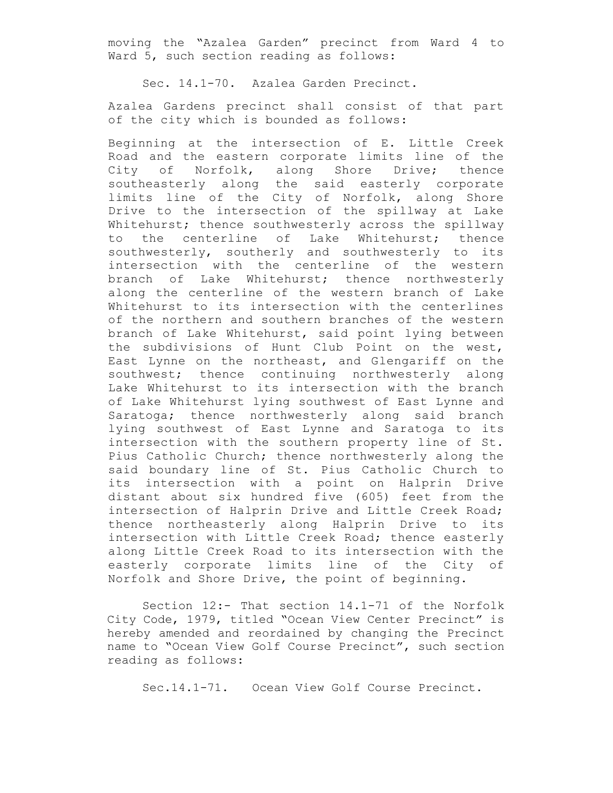moving the "Azalea Garden" precinct from Ward 4 to Ward 5, such section reading as follows:

Sec. 14.1-70. Azalea Garden Precinct.

Azalea Gardens precinct shall consist of that part of the city which is bounded as follows:

Beginning at the intersection of E. Little Creek Road and the eastern corporate limits line of the City of Norfolk, along Shore Drive; thence southeasterly along the said easterly corporate limits line of the City of Norfolk, along Shore Drive to the intersection of the spillway at Lake Whitehurst; thence southwesterly across the spillway to the centerline of Lake Whitehurst; thence southwesterly, southerly and southwesterly to its intersection with the centerline of the western branch of Lake Whitehurst; thence northwesterly along the centerline of the western branch of Lake Whitehurst to its intersection with the centerlines of the northern and southern branches of the western branch of Lake Whitehurst, said point lying between the subdivisions of Hunt Club Point on the west, East Lynne on the northeast, and Glengariff on the southwest; thence continuing northwesterly along Lake Whitehurst to its intersection with the branch of Lake Whitehurst lying southwest of East Lynne and Saratoga; thence northwesterly along said branch lying southwest of East Lynne and Saratoga to its intersection with the southern property line of St. Pius Catholic Church; thence northwesterly along the said boundary line of St. Pius Catholic Church to its intersection with a point on Halprin Drive distant about six hundred five (605) feet from the intersection of Halprin Drive and Little Creek Road; thence northeasterly along Halprin Drive to its intersection with Little Creek Road; thence easterly along Little Creek Road to its intersection with the easterly corporate limits line of the City of Norfolk and Shore Drive, the point of beginning.

Section 12:- That section 14.1-71 of the Norfolk City Code, 1979, titled "Ocean View Center Precinct" is hereby amended and reordained by changing the Precinct name to "Ocean View Golf Course Precinct", such section reading as follows:

Sec.14.1-71. Ocean View Golf Course Precinct.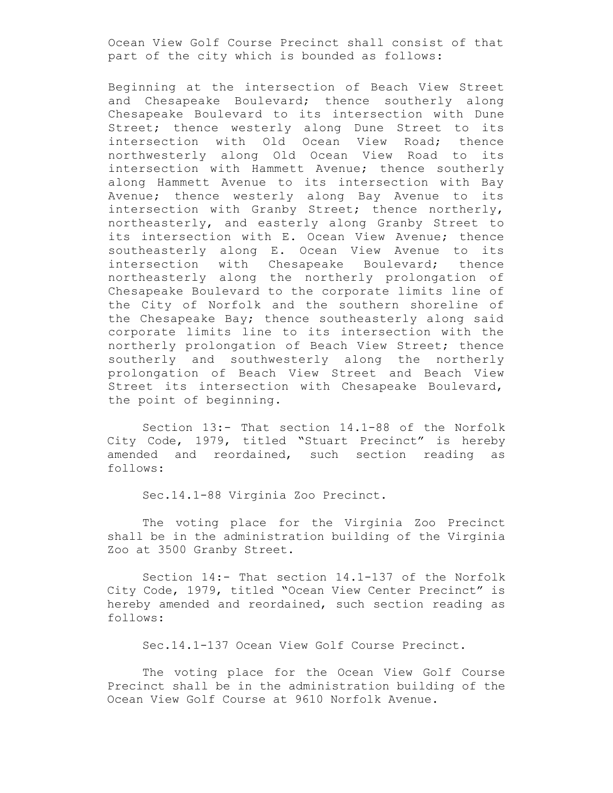Ocean View Golf Course Precinct shall consist of that part of the city which is bounded as follows:

Beginning at the intersection of Beach View Street and Chesapeake Boulevard; thence southerly along Chesapeake Boulevard to its intersection with Dune Street; thence westerly along Dune Street to its intersection with Old Ocean View Road; thence northwesterly along Old Ocean View Road to its intersection with Hammett Avenue; thence southerly along Hammett Avenue to its intersection with Bay Avenue; thence westerly along Bay Avenue to its intersection with Granby Street; thence northerly, northeasterly, and easterly along Granby Street to its intersection with E. Ocean View Avenue; thence southeasterly along E. Ocean View Avenue to its intersection with Chesapeake Boulevard; thence northeasterly along the northerly prolongation of Chesapeake Boulevard to the corporate limits line of the City of Norfolk and the southern shoreline of the Chesapeake Bay; thence southeasterly along said corporate limits line to its intersection with the northerly prolongation of Beach View Street; thence southerly and southwesterly along the northerly prolongation of Beach View Street and Beach View Street its intersection with Chesapeake Boulevard, the point of beginning.

Section 13:- That section 14.1-88 of the Norfolk City Code, 1979, titled "Stuart Precinct" is hereby amended and reordained, such section reading as follows:

Sec.14.1-88 Virginia Zoo Precinct.

The voting place for the Virginia Zoo Precinct shall be in the administration building of the Virginia Zoo at 3500 Granby Street.

Section 14:- That section 14.1-137 of the Norfolk City Code, 1979, titled "Ocean View Center Precinct" is hereby amended and reordained, such section reading as follows:

Sec.14.1-137 Ocean View Golf Course Precinct.

The voting place for the Ocean View Golf Course Precinct shall be in the administration building of the Ocean View Golf Course at 9610 Norfolk Avenue.